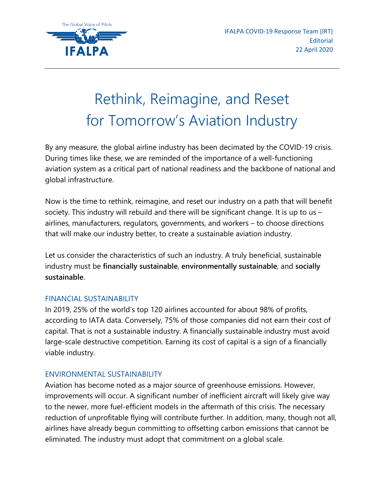## Rethink, Reimagine, and Reset for Tomorrow's Aviation Industry

By any measure, the global airline industry has been decimated by the COVID-19 crisis. During times like these, we are reminded of the importance of a well-functioning aviation system as a critical part of national readiness and the backbone of national and global infrastructure.

Now is the time to rethink, reimagine, and reset our industry on a path that will benefit society. This industry will rebuild and there will be significant change. It is up to us – airlines, manufacturers, regulators, governments, and workers – to choose directions that will make our industry better, to create a sustainable aviation industry.

Let us consider the characteristics of such an industry. A truly beneficial, sustainable industry must be **financially sustainable**, **environmentally sustainable**, and **socially sustainable**.

## FINANCIAL SUSTAINABILITY

In 2019, 25% of the world's top 120 airlines accounted for about 98% of profits, according to IATA data. Conversely, 75% of those companies did not earn their cost of capital. That is not a sustainable industry. A financially sustainable industry must avoid large-scale destructive competition. Earning its cost of capital is a sign of a financially viable industry.

## ENVIRONMENTAL SUSTAINABILITY

Aviation has become noted as a major source of greenhouse emissions. However, improvements will occur. A significant number of inefficient aircraft will likely give way to the newer, more fuel-efficient models in the aftermath of this crisis. The necessary reduction of unprofitable flying will contribute further. In addition, many, though not all, airlines have already begun committing to offsetting carbon emissions that cannot be eliminated. The industry must adopt that commitment on a global scale.